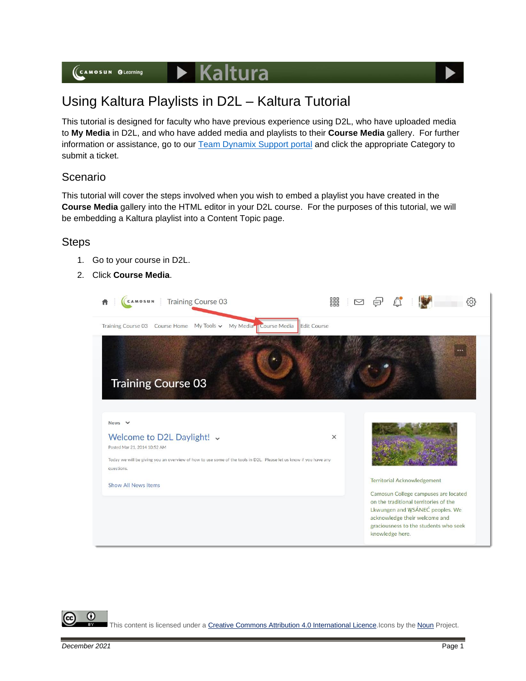## $\blacktriangleright$  Kaltura

# Using Kaltura Playlists in D2L – Kaltura Tutorial

This tutorial is designed for faculty who have previous experience using D2L, who have uploaded media to **My Media** in D2L, and who have added media and playlists to their **Course Media** gallery. For further information or assistance, go to our **Team Dynamix Support portal** and click the appropriate Category to submit a ticket.

### Scenario

This tutorial will cover the steps involved when you wish to embed a playlist you have created in the **Course Media** gallery into the HTML editor in your D2L course. For the purposes of this tutorial, we will be embedding a Kaltura playlist into a Content Topic page.

#### **Steps**

- 1. Go to your course in D2L.
- 2. Click **Course Media**.



This content is licensed under [a Creative Commons Attribution 4.0 International Licence.I](https://creativecommons.org/licenses/by/4.0/)cons by the [Noun](https://creativecommons.org/website-icons/) Project.

⋒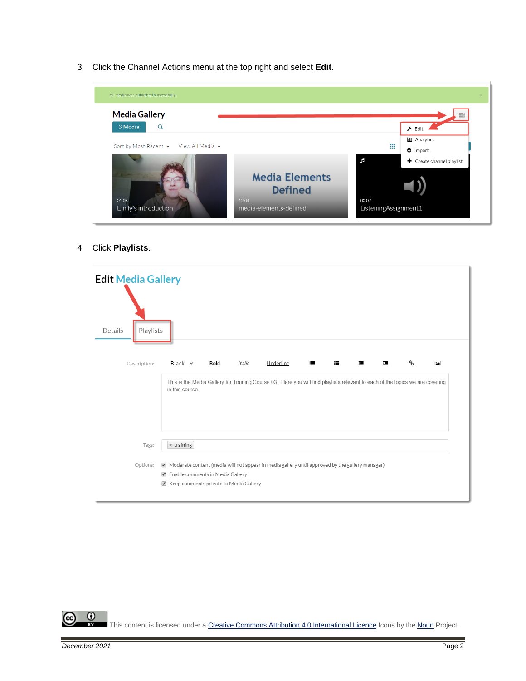3. Click the Channel Actions menu at the top right and select **Edit**.



4. Click **Playlists**.

| <b>Edit Media Gallery</b><br>Playlists<br>Details |                                                                                                                                                                                             |      |        |           |   |         |     |   |                |
|---------------------------------------------------|---------------------------------------------------------------------------------------------------------------------------------------------------------------------------------------------|------|--------|-----------|---|---------|-----|---|----------------|
| Description:                                      | $Black \sim$<br>This is the Media Gallery for Training Course 03. Here you will find playlists relevant to each of the topics we are covering<br>in this course.                            | Bold | Italic | Underline | ≡ | æ.<br>蛋 | ìЕ. | ዔ | $\overline{1}$ |
| Tags:<br>Options:                                 | * training<br>Moderate content (media will not appear in media gallery until approved by the gallery manager)<br>Enable comments in Media Gallery<br>Reep comments private to Media Gallery |      |        |           |   |         |     |   |                |

This content is licensed under [a Creative Commons Attribution 4.0 International Licence.I](https://creativecommons.org/licenses/by/4.0/)cons by the [Noun](https://creativecommons.org/website-icons/) Project.

 $\overline{0}$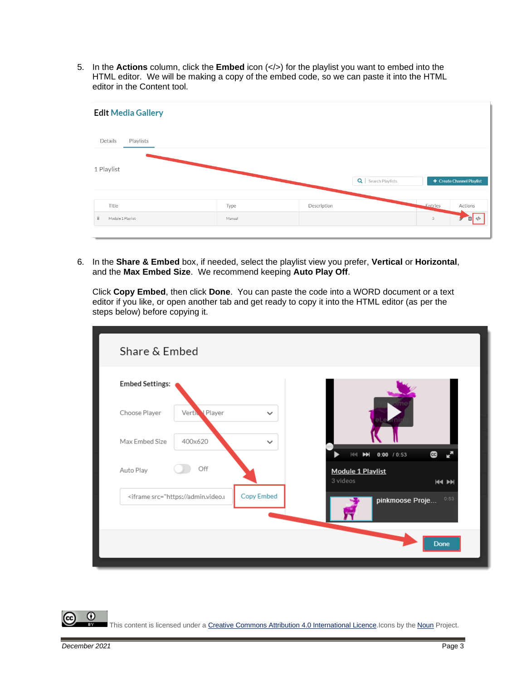5. In the **Actions** column, click the **Embed** icon (</>) for the playlist you want to embed into the HTML editor. We will be making a copy of the embed code, so we can paste it into the HTML editor in the Content tool.



6. In the **Share & Embed** box, if needed, select the playlist view you prefer, **Vertical** or **Horizontal**, and the **Max Embed Size**. We recommend keeping **Auto Play Off**.

Click **Copy Embed**, then click **Done**. You can paste the code into a WORD document or a text editor if you like, or open another tab and get ready to copy it into the HTML editor (as per the steps below) before copying it.

| Share & Embed                                                                                 |              |                                               |
|-----------------------------------------------------------------------------------------------|--------------|-----------------------------------------------|
| <b>Embed Settings:</b>                                                                        |              |                                               |
| Choose Player<br>Vertic Player                                                                | $\checkmark$ |                                               |
| 400x620<br>Max Embed Size                                                                     | $\checkmark$ | $\mathbf{C}$<br>0:00 / 0:53<br>HH             |
| Off<br>Auto Play                                                                              |              | Module 1 Playlist<br>3 videos<br><b>KK PH</b> |
| <iframe src="https://admin.video.t</td> <td>Copy Embed</td> <td>0:53<br/>pinkmoose Proje</td> | Copy Embed   | 0:53<br>pinkmoose Proje                       |
|                                                                                               |              | <b>Done</b>                                   |
|                                                                                               |              |                                               |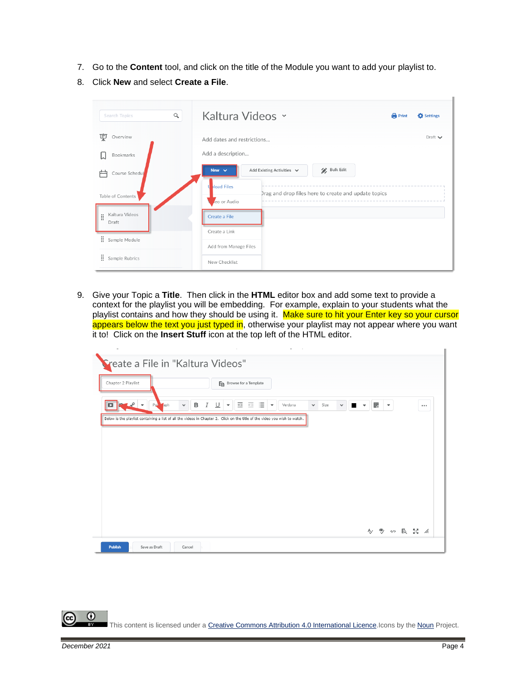- 7. Go to the **Content** tool, and click on the title of the Module you want to add your playlist to.
- 8. Click **New** and select **Create a File**.

| $\alpha$<br><b>Search Topics</b>            | Kaltura Videos ~                                                                                                                       | <b>Print</b> | Settings       |
|---------------------------------------------|----------------------------------------------------------------------------------------------------------------------------------------|--------------|----------------|
| 稟<br>Overview<br>Bookmarks                  | Add dates and restrictions<br>Add a description                                                                                        |              | Draft $\smile$ |
| Course Schedul<br>Table of Contents         | Bulk Edit<br>New $\vee$<br>Add Existing Activities $\vee$<br><b>Noad Files</b><br>Drag and drop files here to create and update topics |              |                |
| Kaltura Videos<br>H<br>Draft                | eo or Audio<br>Create a File<br>Create a Link                                                                                          |              |                |
| ÷.<br>Sample Module<br>Ħ.<br>Sample Rubrics | Add from Manage Files<br>New Checklist                                                                                                 |              |                |

9. Give your Topic a **Title**. Then click in the **HTML** editor box and add some text to provide a context for the playlist you will be embedding. For example, explain to your students what the playlist contains and how they should be using it. Make sure to hit your Enter key so your cursor appears below the text you just typed in, otherwise your playlist may not appear where you want it to! Click on the **Insert Stuff** icon at the top left of the HTML editor.

| Sreate a File in "Kaltura Videos"        |                                                                                                                                                                                                 |   |                          |               |          |
|------------------------------------------|-------------------------------------------------------------------------------------------------------------------------------------------------------------------------------------------------|---|--------------------------|---------------|----------|
| Chapter 2 Playlist                       | En Browse for a Template                                                                                                                                                                        |   |                          |               |          |
| Par aph<br>D<br>$\overline{\phantom{a}}$ | 医细胞<br>в<br>$\sqcup$<br>$\boldsymbol{I}$<br>Verdana<br>Size<br>$\checkmark$<br>$\checkmark$<br>$\overline{\phantom{a}}$<br>$\overline{\phantom{a}}$<br>$\checkmark$<br>$\overline{\phantom{a}}$ | 髎 | $\overline{\phantom{a}}$ |               | $\cdots$ |
|                                          | Below is the playlist containing a list of all the videos in Chapter 2. Click on the title of the video you wish to watch.                                                                      |   |                          |               |          |
|                                          |                                                                                                                                                                                                 |   |                          |               |          |
|                                          |                                                                                                                                                                                                 |   |                          |               |          |
|                                          |                                                                                                                                                                                                 |   |                          |               |          |
|                                          |                                                                                                                                                                                                 |   |                          |               |          |
|                                          |                                                                                                                                                                                                 |   |                          | A/ ® の IQ X / |          |
|                                          |                                                                                                                                                                                                 |   |                          |               |          |

⋒ This content is licensed under [a Creative Commons Attribution 4.0 International Licence.I](https://creativecommons.org/licenses/by/4.0/)cons by the [Noun](https://creativecommons.org/website-icons/) Project.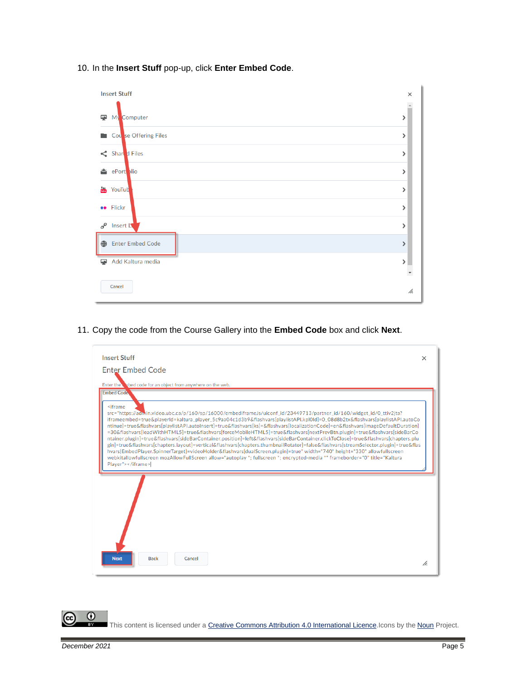10. In the **Insert Stuff** pop-up, click **Enter Embed Code**.



11. Copy the code from the Course Gallery into the **Embed Code** box and click **Next**.



⋒ This content is licensed under [a Creative Commons Attribution 4.0 International Licence.I](https://creativecommons.org/licenses/by/4.0/)cons by the [Noun](https://creativecommons.org/website-icons/) Project.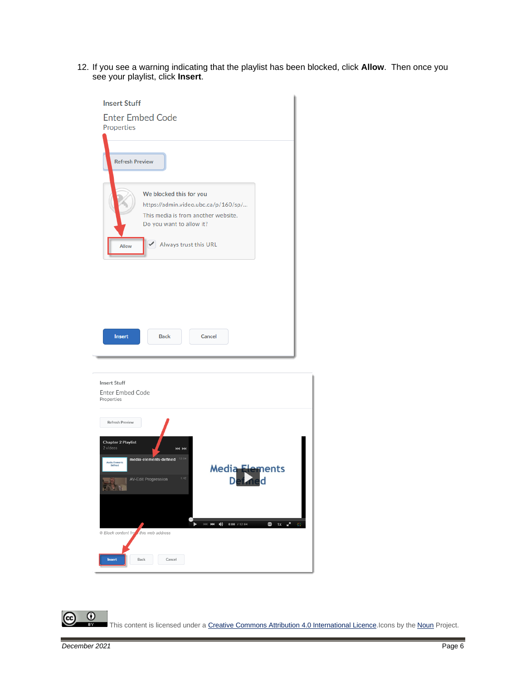12. If you see a warning indicating that the playlist has been blocked, click **Allow**. Then once you see your playlist, click **Insert**.

| <b>Insert Stuff</b><br><b>Enter Embed Code</b><br>Properties                                                                             |
|------------------------------------------------------------------------------------------------------------------------------------------|
| <b>Refresh Preview</b>                                                                                                                   |
| We blocked this for you<br>https://admin.video.ubc.ca/p/160/sp/<br>This media is from another website.<br>Do you want to allow it?       |
| Always trust this URL<br>Allow                                                                                                           |
|                                                                                                                                          |
| <b>Back</b><br>Cancel<br><b>Insert</b>                                                                                                   |
| <b>Insert Stuff</b><br>Enter Embed Code<br>Properties                                                                                    |
| Refresh Preview<br>Chapter 2 Playlist<br>2 videos<br><b>KK PH</b>                                                                        |
| media-elements-defined 12:04<br>Media Elements<br>Defined<br><b>Media Elements</b><br>AV-Edit Progression<br>Def ne <mark>d</mark><br>不好 |
| $1x - \frac{1}{x}$<br>$  \cdot  $ $  $ $  $<br>$0:00$ / 12:04<br>G<br>崇<br><sup>o</sup> Block content from this web address              |
| Back<br>Cancel<br><b>Insert</b>                                                                                                          |

 $\overline{0}$ (cc This content is licensed under [a Creative Commons Attribution 4.0 International Licence.I](https://creativecommons.org/licenses/by/4.0/)cons by the [Noun](https://creativecommons.org/website-icons/) Project.